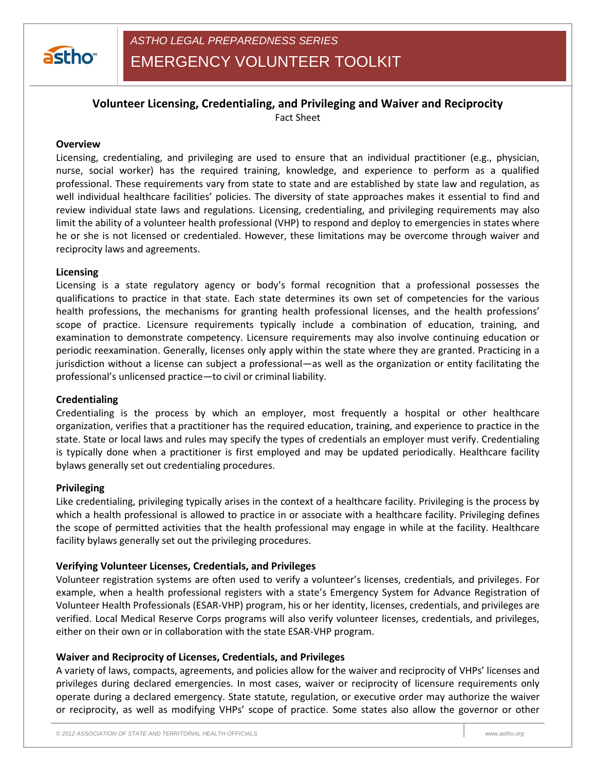

EMERGENCY VOLUNTEER TOOLKIT

# **Volunteer Licensing, Credentialing, and Privileging and Waiver and Reciprocity** Fact Sheet

### **Overview**

Licensing, credentialing, and privileging are used to ensure that an individual practitioner (e.g., physician, nurse, social worker) has the required training, knowledge, and experience to perform as a qualified professional. These requirements vary from state to state and are established by state law and regulation, as well individual healthcare facilities' policies. The diversity of state approaches makes it essential to find and review individual state laws and regulations. Licensing, credentialing, and privileging requirements may also limit the ability of a volunteer health professional (VHP) to respond and deploy to emergencies in states where he or she is not licensed or credentialed. However, these limitations may be overcome through waiver and reciprocity laws and agreements.

## **Licensing**

Licensing is a state regulatory agency or body's formal recognition that a professional possesses the qualifications to practice in that state. Each state determines its own set of competencies for the various health professions, the mechanisms for granting health professional licenses, and the health professions' scope of practice. Licensure requirements typically include a combination of education, training, and examination to demonstrate competency. Licensure requirements may also involve continuing education or periodic reexamination. Generally, licenses only apply within the state where they are granted. Practicing in a jurisdiction without a license can subject a professional—as well as the organization or entity facilitating the professional's unlicensed practice—to civil or criminal liability.

#### **Credentialing**

Credentialing is the process by which an employer, most frequently a hospital or other healthcare organization, verifies that a practitioner has the required education, training, and experience to practice in the state. State or local laws and rules may specify the types of credentials an employer must verify. Credentialing is typically done when a practitioner is first employed and may be updated periodically. Healthcare facility bylaws generally set out credentialing procedures.

#### **Privileging**

Like credentialing, privileging typically arises in the context of a healthcare facility. Privileging is the process by which a health professional is allowed to practice in or associate with a healthcare facility. Privileging defines the scope of permitted activities that the health professional may engage in while at the facility. Healthcare facility bylaws generally set out the privileging procedures.

#### **Verifying Volunteer Licenses, Credentials, and Privileges**

Volunteer registration systems are often used to verify a volunteer's licenses, credentials, and privileges. For example, when a health professional registers with a state's Emergency System for Advance Registration of Volunteer Health Professionals (ESAR-VHP) program, his or her identity, licenses, credentials, and privileges are verified. Local Medical Reserve Corps programs will also verify volunteer licenses, credentials, and privileges, either on their own or in collaboration with the state ESAR-VHP program.

#### **Waiver and Reciprocity of Licenses, Credentials, and Privileges**

A variety of laws, compacts, agreements, and policies allow for the waiver and reciprocity of VHPs' licenses and privileges during declared emergencies. In most cases, waiver or reciprocity of licensure requirements only operate during a declared emergency. State statute, regulation, or executive order may authorize the waiver or reciprocity, as well as modifying VHPs' scope of practice. Some states also allow the governor or other